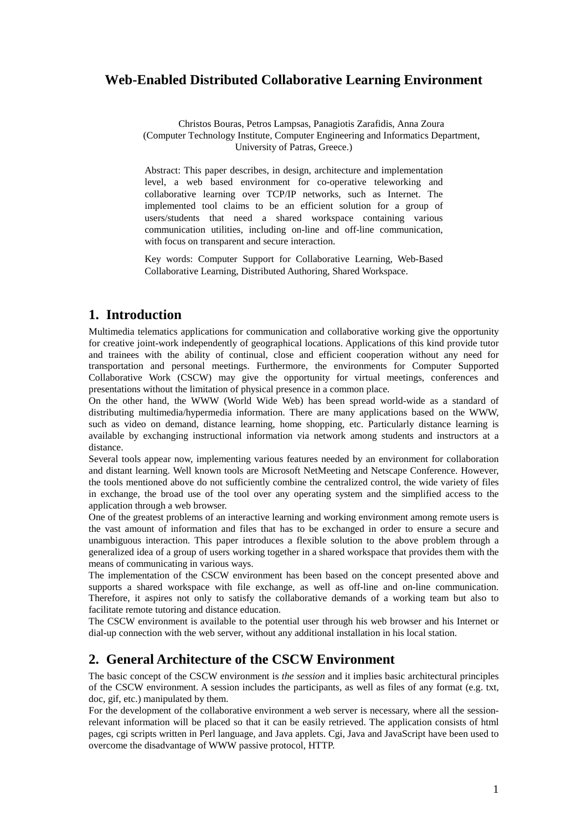# **Web-Enabled Distributed Collaborative Learning Environment**

Christos Bouras, Petros Lampsas, Panagiotis Zarafidis, Anna Zoura (Computer Technology Institute, Computer Engineering and Informatics Department, University of Patras, Greece.)

Abstract: This paper describes, in design, architecture and implementation level, a web based environment for co-operative teleworking and collaborative learning over TCP/IP networks, such as Internet. The implemented tool claims to be an efficient solution for a group of users/students that need a shared workspace containing various communication utilities, including on-line and off-line communication, with focus on transparent and secure interaction.

Key words: Computer Support for Collaborative Learning, Web-Based Collaborative Learning, Distributed Authoring, Shared Workspace.

## **1. Introduction**

Multimedia telematics applications for communication and collaborative working give the opportunity for creative joint-work independently of geographical locations. Applications of this kind provide tutor and trainees with the ability of continual, close and efficient cooperation without any need for transportation and personal meetings. Furthermore, the environments for Computer Supported Collaborative Work (CSCW) may give the opportunity for virtual meetings, conferences and presentations without the limitation of physical presence in a common place.

On the other hand, the WWW (World Wide Web) has been spread world-wide as a standard of distributing multimedia/hypermedia information. There are many applications based on the WWW, such as video on demand, distance learning, home shopping, etc. Particularly distance learning is available by exchanging instructional information via network among students and instructors at a distance.

Several tools appear now, implementing various features needed by an environment for collaboration and distant learning. Well known tools are Microsoft NetMeeting and Netscape Conference. However, the tools mentioned above do not sufficiently combine the centralized control, the wide variety of files in exchange, the broad use of the tool over any operating system and the simplified access to the application through a web browser.

One of the greatest problems of an interactive learning and working environment among remote users is the vast amount of information and files that has to be exchanged in order to ensure a secure and unambiguous interaction. This paper introduces a flexible solution to the above problem through a generalized idea of a group of users working together in a shared workspace that provides them with the means of communicating in various ways.

The implementation of the CSCW environment has been based on the concept presented above and supports a shared workspace with file exchange, as well as off-line and on-line communication. Therefore, it aspires not only to satisfy the collaborative demands of a working team but also to facilitate remote tutoring and distance education.

The CSCW environment is available to the potential user through his web browser and his Internet or dial-up connection with the web server, without any additional installation in his local station.

# **2. General Architecture of the CSCW Environment**

The basic concept of the CSCW environment is *the session* and it implies basic architectural principles of the CSCW environment. A session includes the participants, as well as files of any format (e.g. txt, doc, gif, etc.) manipulated by them.

For the development of the collaborative environment a web server is necessary, where all the sessionrelevant information will be placed so that it can be easily retrieved. The application consists of html pages, cgi scripts written in Perl language, and Java applets. Cgi, Java and JavaScript have been used to overcome the disadvantage of WWW passive protocol, HTTP.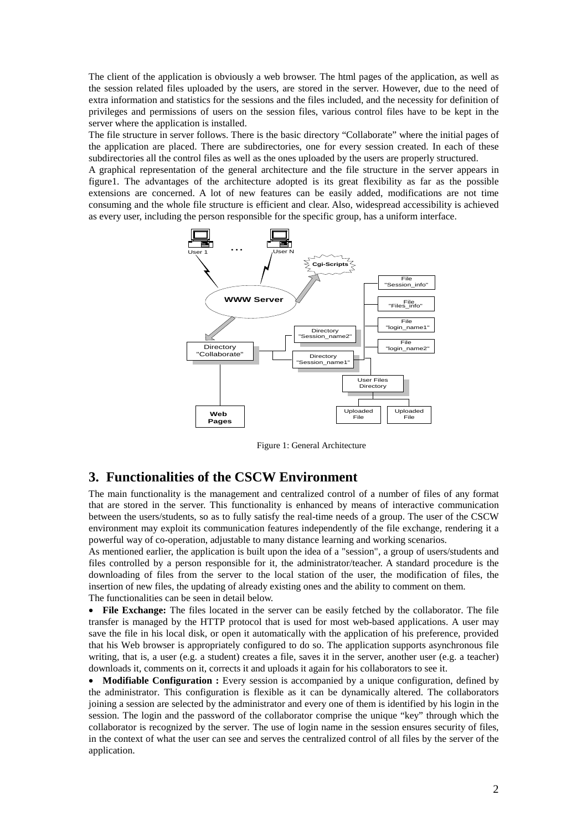The client of the application is obviously a web browser. The html pages of the application, as well as the session related files uploaded by the users, are stored in the server. However, due to the need of extra information and statistics for the sessions and the files included, and the necessity for definition of privileges and permissions of users on the session files, various control files have to be kept in the server where the application is installed.

The file structure in server follows. There is the basic directory "Collaborate" where the initial pages of the application are placed. There are subdirectories, one for every session created. In each of these subdirectories all the control files as well as the ones uploaded by the users are properly structured.

A graphical representation of the general architecture and the file structure in the server appears in figure1. The advantages of the architecture adopted is its great flexibility as far as the possible extensions are concerned. A lot of new features can be easily added, modifications are not time consuming and the whole file structure is efficient and clear. Also, widespread accessibility is achieved as every user, including the person responsible for the specific group, has a uniform interface.



Figure 1: General Architecture

#### **3. Functionalities of the CSCW Environment**

The main functionality is the management and centralized control of a number of files of any format that are stored in the server. This functionality is enhanced by means of interactive communication between the users/students, so as to fully satisfy the real-time needs of a group. The user of the CSCW environment may exploit its communication features independently of the file exchange, rendering it a powerful way of co-operation, adjustable to many distance learning and working scenarios.

As mentioned earlier, the application is built upon the idea of a "session", a group of users/students and files controlled by a person responsible for it, the administrator/teacher. A standard procedure is the downloading of files from the server to the local station of the user, the modification of files, the insertion of new files, the updating of already existing ones and the ability to comment on them. The functionalities can be seen in detail below.

• **File Exchange:** The files located in the server can be easily fetched by the collaborator. The file transfer is managed by the HTTP protocol that is used for most web-based applications. A user may save the file in his local disk, or open it automatically with the application of his preference, provided that his Web browser is appropriately configured to do so. The application supports asynchronous file writing, that is, a user (e.g. a student) creates a file, saves it in the server, another user (e.g. a teacher) downloads it, comments on it, corrects it and uploads it again for his collaborators to see it.

• **Modifiable Configuration :** Every session is accompanied by a unique configuration, defined by the administrator. This configuration is flexible as it can be dynamically altered. The collaborators joining a session are selected by the administrator and every one of them is identified by his login in the session. The login and the password of the collaborator comprise the unique "key" through which the collaborator is recognized by the server. The use of login name in the session ensures security of files, in the context of what the user can see and serves the centralized control of all files by the server of the application.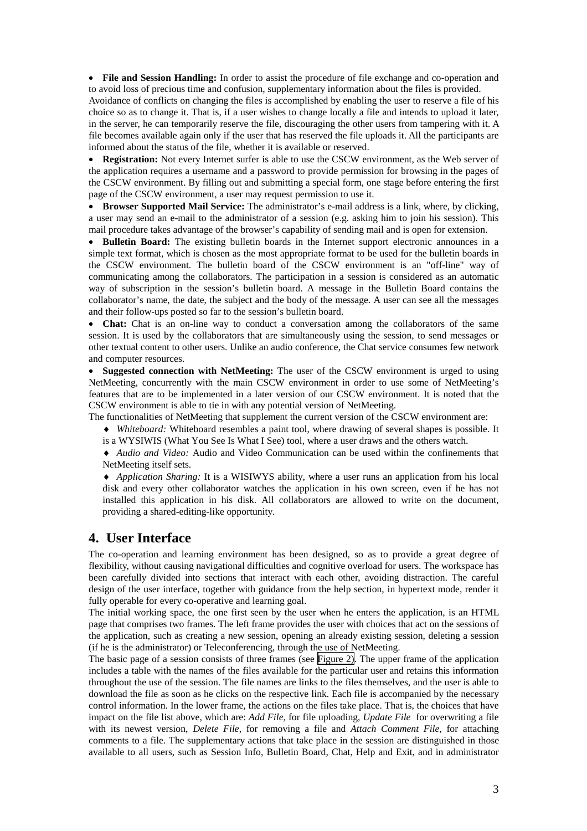• **File and Session Handling:** In order to assist the procedure of file exchange and co-operation and to avoid loss of precious time and confusion, supplementary information about the files is provided.

Avoidance of conflicts on changing the files is accomplished by enabling the user to reserve a file of his choice so as to change it. That is, if a user wishes to change locally a file and intends to upload it later, in the server, he can temporarily reserve the file, discouraging the other users from tampering with it. A file becomes available again only if the user that has reserved the file uploads it. All the participants are informed about the status of the file, whether it is available or reserved.

• **Registration:** Not every Internet surfer is able to use the CSCW environment, as the Web server of the application requires a username and a password to provide permission for browsing in the pages of the CSCW environment. By filling out and submitting a special form, one stage before entering the first page of the CSCW environment, a user may request permission to use it.

• **Browser Supported Mail Service:** The administrator's e-mail address is a link, where, by clicking, a user may send an e-mail to the administrator of a session (e.g. asking him to join his session). This mail procedure takes advantage of the browser's capability of sending mail and is open for extension.

• **Bulletin Board:** The existing bulletin boards in the Internet support electronic announces in a simple text format, which is chosen as the most appropriate format to be used for the bulletin boards in the CSCW environment. The bulletin board of the CSCW environment is an "off-line" way of communicating among the collaborators. The participation in a session is considered as an automatic way of subscription in the session's bulletin board. A message in the Bulletin Board contains the collaborator's name, the date, the subject and the body of the message. A user can see all the messages and their follow-ups posted so far to the session's bulletin board.

• **Chat:** Chat is an on-line way to conduct a conversation among the collaborators of the same session. It is used by the collaborators that are simultaneously using the session, to send messages or other textual content to other users. Unlike an audio conference, the Chat service consumes few network and computer resources.

• **Suggested connection with NetMeeting:** The user of the CSCW environment is urged to using NetMeeting, concurrently with the main CSCW environment in order to use some of NetMeeting's features that are to be implemented in a later version of our CSCW environment. It is noted that the CSCW environment is able to tie in with any potential version of NetMeeting.

The functionalities of NetMeeting that supplement the current version of the CSCW environment are:

♦ *Whiteboard:* Whiteboard resembles a paint tool, where drawing of several shapes is possible. It is a WYSIWIS (What You See Is What I See) tool, where a user draws and the others watch.

♦ *Audio and Video:* Audio and Video Communication can be used within the confinements that NetMeeting itself sets.

♦ *Application Sharing:* It is a WISIWYS ability, where a user runs an application from his local disk and every other collaborator watches the application in his own screen, even if he has not installed this application in his disk. All collaborators are allowed to write on the document, providing a shared-editing-like opportunity.

### **4. User Interface**

The co-operation and learning environment has been designed, so as to provide a great degree of flexibility, without causing navigational difficulties and cognitive overload for users. The workspace has been carefully divided into sections that interact with each other, avoiding distraction. The careful design of the user interface, together with guidance from the help section, in hypertext mode, render it fully operable for every co-operative and learning goal.

The initial working space, the one first seen by the user when he enters the application, is an HTML page that comprises two frames. The left frame provides the user with choices that act on the sessions of the application, such as creating a new session, opening an already existing session, deleting a session (if he is the administrator) or Teleconferencing, through the use of NetMeeting.

The basic page of a session consists of three frames (see [Figure 2\)](#page-3-0). The upper frame of the application includes a table with the names of the files available for the particular user and retains this information throughout the use of the session. The file names are links to the files themselves, and the user is able to download the file as soon as he clicks on the respective link. Each file is accompanied by the necessary control information. In the lower frame, the actions on the files take place. That is, the choices that have impact on the file list above, which are: *Add File*, for file uploading, *Update File* for overwriting a file with its newest version, *Delete File*, for removing a file and *Attach Comment File*, for attaching comments to a file. The supplementary actions that take place in the session are distinguished in those available to all users, such as Session Info, Bulletin Board, Chat, Help and Exit, and in administrator